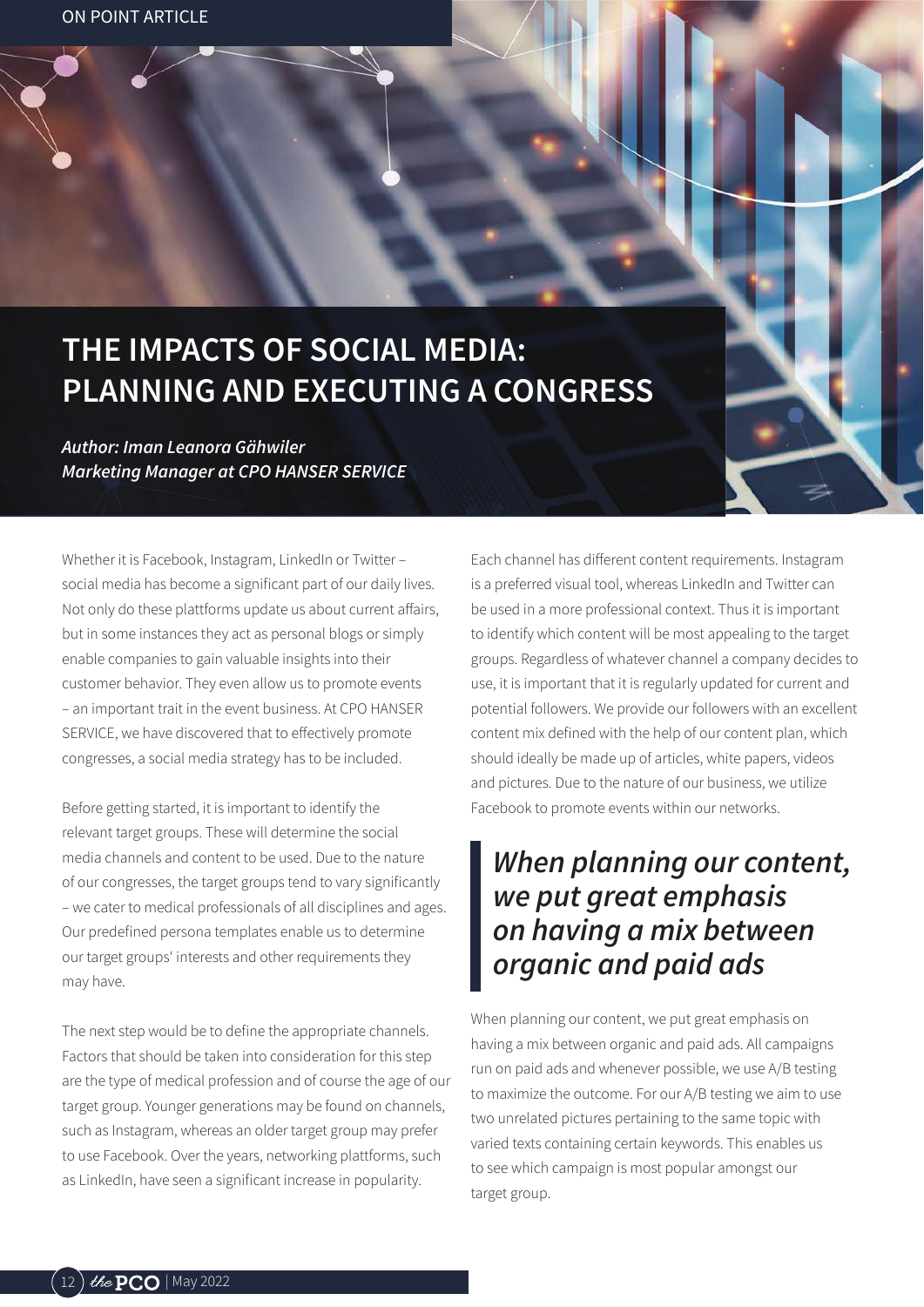## THE IMPACTS OF SOCIAL MEDIA: **PLANNING AND EXECUTING A CONGRESS**

Author: Iman Leanora Gähwiler **Marketing Manager at CPO HANSER SERVICE** 

Whether it is Facebook, Instagram, LinkedIn or Twitter social media has become a significant part of our daily lives. Not only do these plattforms update us about current affairs, but in some instances they act as personal blogs or simply enable companies to gain valuable insights into their customer behavior. They even allow us to promote events - an important trait in the event business At CPO HANSER SERVICE, we have discovered that to effectively promote congresses, a social media strategy has to be included.

Before getting started, it is important to identify the relevant target groups. These will determine the social media channels and content to be used. Due to the nature of our congresses, the target groups tend to vary significantly - we cater to medical professionals of all disciplines and ages. Our predefined persona templates enable us to determine our target groups' interests and other requirements they may have.

The next step would be to define the appropriate channels. Factors that should be taken into consideration for this step are the type of medical profession and of course the age of our target group. Younger generations may be found on channels, such as Instagram, whereas an older target group may prefer to use Facebook. Over the years, networking plattforms, such as LinkedIn, have seen a significant increase in popularity.

Each channel has different content requirements. Instagram is a preferred visual tool, whereas LinkedIn and Twitter can be used in a more professional context. Thus it is important to identify which content will be most appealing to the target groups. Regardless of whatever channel a company decides to use, it is important that it is regularly updated for current and potential followers. We provide our followers with an excellent content mix defined with the help of our content plan, which should ideally be made up of articles, white papers, videos and pictures. Due to the nature of our business, we utilize Facebook to promote events within our networks.

## When planning our content, we put great emphasis on having a mix between organic and paid ads

When planning our content, we put great emphasis on having a mix between organic and paid ads. All campaigns run on paid ads and whenever possible, we use A/B testing to maximize the outcome. For our A/B testing we aim to use two unrelated pictures pertaining to the same topic with varied texts containing certain keywords. This enables us to see which campaign is most popular amongst our target group.